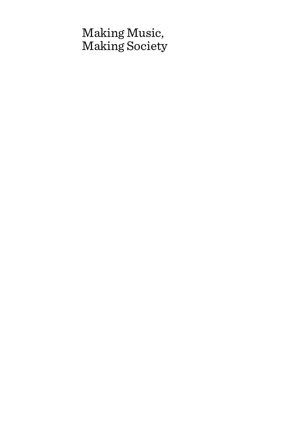# Making Music, Making Society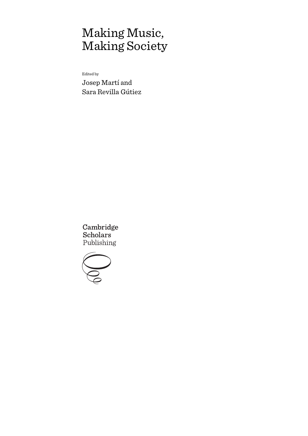# Making Music, Making Society

Edited by

Josep Martí and Sara Revilla Gútiez

Cambridge **Scholars** Publishing

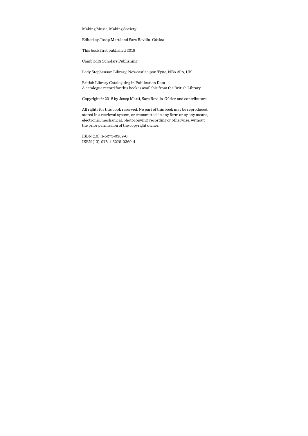Making Music, Making Society

Edited by Josep Martí and Sara Revilla Gútiez

This book first published 2018

Cambridge Scholars Publishing

Lady Stephenson Library, Newcastle upon Tyne, NE6 2PA, UK

British Library Cataloguing in Publication Data A catalogue record for this book is available from the British Library

Copyright © 2018 by Josep Martí, Sara Revilla Gútiez and contributors

All rights for this book reserved. No part of this book may be reproduced, stored in a retrieval system, or transmitted, in any form or by any means, electronic, mechanical, photocopying, recording or otherwise, without the prior permission of the copyright owner.

ISBN (10): 1-5275-0369-0 ISBN (13): 978-1-5275-0369-4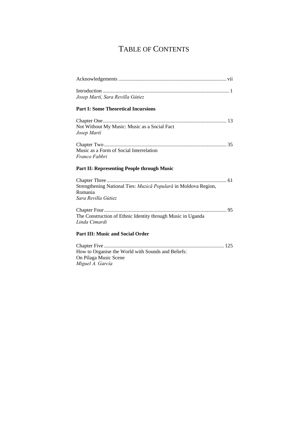## TABLE OF CONTENTS

| $\label{eq:1} \text{Introduction} \,\, \ldots \,\, \ldots \,\, \ldots \,\, \ldots \,\, \ldots \,\, \ldots \,\, \ldots \,\, \ldots \,\, \ldots \,\, \ldots \,\, \ldots \,\, \ldots \,\, \ldots \,\, \ldots \,\, \ldots \,\, \ldots \,\, \ldots \,\, \ldots \,\, \ldots \,\, \ldots \,\, \ldots \,\, \ldots \,\, \ldots \,\, \ldots \,\, \ldots \,\, \ldots \,\, \ldots \,\, \ldots \,\, \ldots \,\, \ldots \,\, \ldots \,\, \ldots \,\, \ldots \,\, \ldots \,\, \$<br>Josep Martí, Sara Revilla Gútiez |
|-------------------------------------------------------------------------------------------------------------------------------------------------------------------------------------------------------------------------------------------------------------------------------------------------------------------------------------------------------------------------------------------------------------------------------------------------------------------------------------------------------|
| <b>Part I: Some Theoretical Incursions</b>                                                                                                                                                                                                                                                                                                                                                                                                                                                            |
| Not Without My Music: Music as a Social Fact<br>Josep Martí                                                                                                                                                                                                                                                                                                                                                                                                                                           |
| Music as a Form of Social Interrelation<br>Franco Fabbri                                                                                                                                                                                                                                                                                                                                                                                                                                              |
| <b>Part II: Representing People through Music</b>                                                                                                                                                                                                                                                                                                                                                                                                                                                     |
| Strengthening National Ties: Muzică Populară in Moldova Region,<br>Romania<br>Sara Revilla Gútiez                                                                                                                                                                                                                                                                                                                                                                                                     |
| The Construction of Ethnic Identity through Music in Uganda<br>Linda Cimardi                                                                                                                                                                                                                                                                                                                                                                                                                          |
| <b>Part III: Music and Social Order</b>                                                                                                                                                                                                                                                                                                                                                                                                                                                               |
| How to Organise the World with Sounds and Beliefs:<br>On Pilaga Music Scene<br>Miguel A. García                                                                                                                                                                                                                                                                                                                                                                                                       |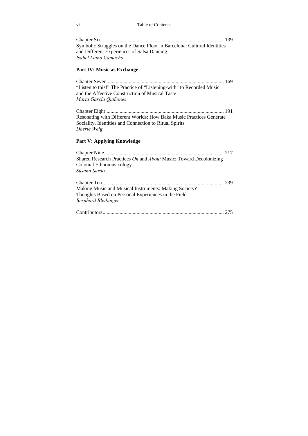| Symbolic Struggles on the Dance Floor in Barcelona: Cultural Identities |  |
|-------------------------------------------------------------------------|--|
| and Different Experiences of Salsa Dancing                              |  |
| Isabel Llano Camacho                                                    |  |

#### **Part IV: Music as Exchange**

Chapter Seven .......................................................................................... 169 "Listen to this!" The Practice of "Listening-with" to Recorded Music and the Affective Construction of Musical Taste *Marta García Quiñones* 

Chapter Eight ........................................................................................... 191 Resonating with Different Worlds: How Baka Music Practices Generate Sociality, Identities and Connection to Ritual Spirits *Doerte Weig*

#### **Part V: Applying Knowledge**

Chapter Nine ............................................................................................ 217 Shared Research Practices *On* and *About* Music: Toward Decolonizing Colonial Ethnomusicology *Susana Sardo* 

| Making Music and Musical Instruments: Making Society? |  |
|-------------------------------------------------------|--|
| Thoughts Based on Personal Experiences in the Field   |  |
| Bernhard Bleibinger                                   |  |
|                                                       |  |

|--|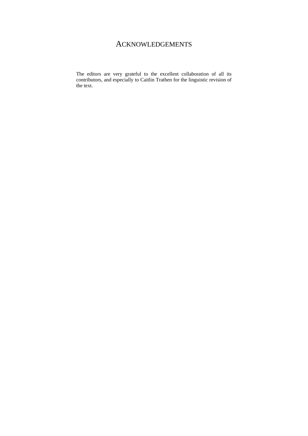## ACKNOWLEDGEMENTS

The editors are very grateful to the excellent collaboration of all its contributors, and especially to Caitlin Trathen for the linguistic revision of the text.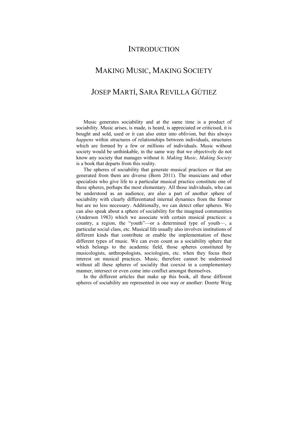### **INTRODUCTION**

### MAKING MUSIC, MAKING SOCIETY

### JOSEP MARTÍ, SARA REVILLA GÚTIEZ

Music generates sociability and at the same time is a product of sociability. Music arises, is made, is heard, is appreciated or criticised, it is bought and sold, used or it can also enter into oblivion, but this always *happens* within structures of relationships between individuals, structures which are formed by a few or millions of individuals. Music without society would be unthinkable, in the same way that we objectively do not know any society that manages without it. *Making Music, Making Society* is a book that departs from this reality.

The spheres of sociability that generate musical practices or that are generated from them are diverse (Born 2011). The musicians and other specialists who give life to a particular musical practice constitute one of these spheres, perhaps the most elementary. All those individuals, who can be understood as an audience, are also a part of another sphere of sociability with clearly differentiated internal dynamics from the former but are no less necessary. Additionally, we can detect other spheres. We can also speak about a sphere of sociability for the imagined communities (Anderson 1983) which we associate with certain musical practices: a country, a region, the "youth"—or a determined type of youth—, a particular social class, etc. Musical life usually also involves institutions of different kinds that contribute or enable the implementation of these different types of music. We can even count as a sociability sphere that which belongs to the academic field, those spheres constituted by musicologists, anthropologists, sociologists, etc. when they focus their interest on musical practices. Music, therefore cannot be understood without all these spheres of sociality that coexist in a complementary manner, intersect or even come into conflict amongst themselves.

In the different articles that make up this book, all these different spheres of sociability are represented in one way or another: Doerte Weig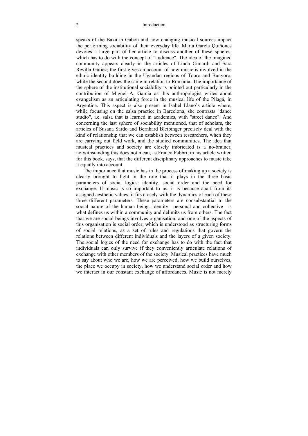#### 2 Introduction

speaks of the Baka in Gabon and how changing musical sources impact the performing sociability of their everyday life. Marta García Quiñones devotes a large part of her article to discuss another of these spheres, which has to do with the concept of "audience". The idea of the imagined community appears clearly in the articles of Linda Cimardi and Sara Revilla Gútiez; the first gives an account of how music is involved in the ethnic identity building in the Ugandan regions of Tooro and Bunyoro, while the second does the same in relation to Romania. The importance of the sphere of the institutional sociability is pointed out particularly in the contribution of Miguel A. García as this anthropologist writes about evangelism as an articulating force in the musical life of the Pilagá, in Argentina. This aspect is also present in Isabel Llano's article where, while focusing on the salsa practice in Barcelona, she contrasts "dance" studio", i.e. salsa that is learned in academies, with "street dance". And concerning the last sphere of sociability mentioned, that of scholars, the articles of Susana Sardo and Bernhard Bleibinger precisely deal with the kind of relationship that we can establish between researchers, when they are carrying out field work, and the studied communities. The idea that musical practices and society are closely imbricated is a no-brainer, notwithstanding this does not mean, as Franco Fabbri, in his article written for this book, says, that the different disciplinary approaches to music take it equally into account.

The importance that music has in the process of making up a society is clearly brought to light in the role that it plays in the three basic parameters of social logics: identity, social order and the need for exchange. If music is so important to us, it is because apart from its assigned aesthetic values, it fits closely with the dynamics of each of these three different parameters. These parameters are consubstantial to the social nature of the human being. Identity—personal and collective—is what defines us within a community and delimits us from others. The fact that we are social beings involves organisation, and one of the aspects of this organisation is social order, which is understood as structuring forms of social relations, as a set of rules and regulations that govern the relations between different individuals and the layers of a given society. The social logics of the need for exchange has to do with the fact that individuals can only survive if they conveniently articulate relations of exchange with other members of the society. Musical practices have much to say about who we are, how we are perceived, how we build ourselves, the place we occupy in society, how we understand social order and how we interact in our constant exchange of affordances. Music is not merely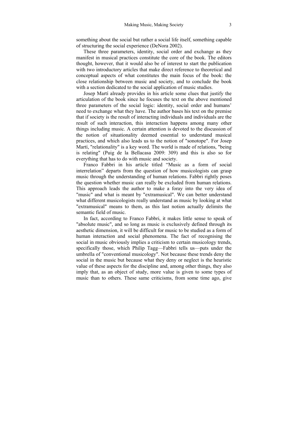something about the social but rather a social life itself, something capable of structuring the social experience (DeNora 2002).

These three parameters, identity, social order and exchange as they manifest in musical practices constitute the core of the book. The editors thought, however, that it would also be of interest to start the publication with two introductory articles that make direct reference to theoretical and conceptual aspects of what constitutes the main focus of the book: the close relationship between music and society, and to conclude the book with a section dedicated to the social application of music studies.

Josep Martí already provides in his article some clues that justify the articulation of the book since he focuses the text on the above mentioned three parameters of the social logic: identity, social order and humans' need to exchange what they have. The author bases his text on the premise that if society is the result of interacting individuals and individuals are the result of such interaction, this interaction happens among many other things including music. A certain attention is devoted to the discussion of the notion of situationality deemed essential to understand musical practices, and which also leads us to the notion of "sonotope". For Josep Martí, "relationality" is a key word. The world is made of relations, "being is relating" (Puig de la Bellacasa 2009: 309) and this is also so for everything that has to do with music and society.

Franco Fabbri in his article titled "Music as a form of social interrelation" departs from the question of how musicologists can grasp music through the understanding of human relations. Fabbri rightly poses the question whether music can really be excluded from human relations. This approach leads the author to make a foray into the very idea of "music" and what is meant by "extramusical". We can better understand what different musicologists really understand as music by looking at what "extramusical" means to them, as this last notion actually delimits the semantic field of music.

In fact, according to Franco Fabbri, it makes little sense to speak of "absolute music", and so long as music is exclusively defined through its aesthetic dimension, it will be difficult for music to be studied as a form of human interaction and social phenomena. The fact of recognising the social in music obviously implies a criticism to certain musicology trends, specifically those, which Philip Tagg—Fabbri tells us—puts under the umbrella of "conventional musicology". Not because these trends deny the social in the music but because what they deny or neglect is the heuristic value of these aspects for the discipline and, among other things, they also imply that, as an object of study, more value is given to some types of music than to others. These same criticisms, from some time ago, give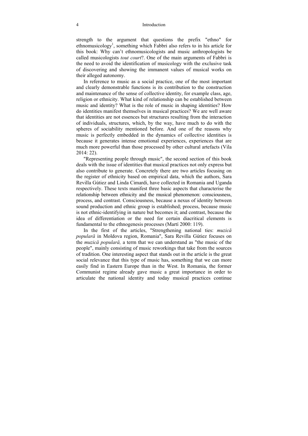#### 4 Introduction

strength to the argument that questions the prefix "ethno" for ethnomusicology<sup>1</sup>, something which Fabbri also refers to in his article for this book: Why can't ethnomusicologists and music anthropologists be called musicologists *tout court*?. One of the main arguments of Fabbri is the need to avoid the identification of musicology with the exclusive task of discovering and showing the immanent values of musical works on their alleged autonomy.

In reference to music as a social practice, one of the most important and clearly demonstrable functions is its contribution to the construction and maintenance of the sense of collective identity, for example class, age, religion or ethnicity. What kind of relationship can be established between music and identity? What is the role of music in shaping identities? How do identities manifest themselves in musical practices? We are well aware that identities are not essences but structures resulting from the interaction of individuals, structures, which, by the way, have much to do with the spheres of sociability mentioned before. And one of the reasons why music is perfectly embedded in the dynamics of collective identities is because it generates intense emotional experiences, experiences that are much more powerful than those processed by other cultural artefacts (Vila 2014: 22).

"Representing people through music", the second section of this book deals with the issue of identities that musical practices not only express but also contribute to generate. Concretely there are two articles focusing on the register of ethnicity based on empirical data, which the authors, Sara Revilla Gútiez and Linda Cimardi, have collected in Romania and Uganda respectively. These texts manifest three basic aspects that characterise the relationship between ethnicity and the musical phenomenon: consciousness, process, and contrast. Consciousness, because a nexus of identity between sound production and ethnic group is established; process, because music is not ethnic-identifying in nature but becomes it; and contrast, because the idea of differentiation or the need for certain diacritical elements is fundamental to the ethnogenesis processes (Martí 2000: 119).

In the first of the articles, "Strengthening national ties: *muzică populară* in Moldova region, Romania", Sara Revilla Gútiez focuses on the *muzică populară,* a term that we can understand as "the music of the people", mainly consisting of music reworkings that take from the sources of tradition. One interesting aspect that stands out in the article is the great social relevance that this type of music has, something that we can more easily find in Eastern Europe than in the West. In Romania, the former Communist regime already gave music a great importance in order to articulate the national identity and today musical practices continue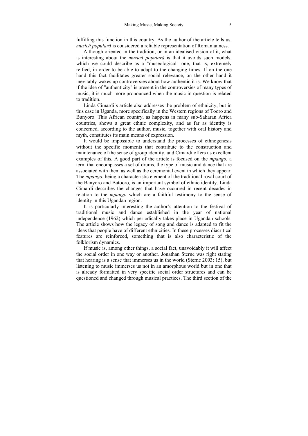fulfilling this function in this country. As the author of the article tells us, *muzică populară* is considered a reliable representation of Romanianness.

Although oriented in the tradition, or in an idealised vision of it, what is interesting about the *muzică populară* is that it avoids such models, which we could describe as a "museological" one, that is, extremely reified, in order to be able to adapt to the changing times. If on the one hand this fact facilitates greater social relevance, on the other hand it inevitably wakes up controversies about how authentic it is. We know that if the idea of "authenticity" is present in the controversies of many types of music, it is much more pronounced when the music in question is related to tradition.

Linda Cimardi's article also addresses the problem of ethnicity, but in this case in Uganda, more specifically in the Western regions of Tooro and Bunyoro. This African country, as happens in many sub-Saharan Africa countries, shows a great ethnic complexity, and as far as identity is concerned, according to the author, music, together with oral history and myth, constitutes its main means of expression.

It would be impossible to understand the processes of ethnogenesis without the specific moments that contribute to the construction and maintenance of the sense of group identity, and Cimardi offers us excellent examples of this. A good part of the article is focused on the *mpango*, a term that encompasses a set of drums, the type of music and dance that are associated with them as well as the ceremonial event in which they appear. The *mpango*, being a characteristic element of the traditional royal court of the Banyoro and Batooro, is an important symbol of ethnic identity. Linda Cimardi describes the changes that have occurred in recent decades in relation to the *mpango* which are a faithful testimony to the sense of identity in this Ugandan region.

It is particularly interesting the author's attention to the festival of traditional music and dance established in the year of national independence (1962) which periodically takes place in Ugandan schools. The article shows how the legacy of song and dance is adapted to fit the ideas that people have of different ethnicities. In these processes diacritical features are reinforced, something that is also characteristic of the folklorism dynamics.

If music is, among other things, a social fact, unavoidably it will affect the social order in one way or another. Jonathan Sterne was right stating that hearing is a sense that immerses us in the world (Sterne 2003: 15), but listening to music immerses us not in an amorphous world but in one that is already formatted in very specific social order structures and can be questioned and changed through musical practices. The third section of the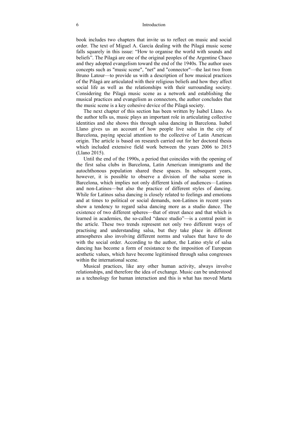book includes two chapters that invite us to reflect on music and social order. The text of Miguel A. García dealing with the Pilagá music scene falls squarely in this issue: "How to organise the world with sounds and beliefs". The Pilagá are one of the original peoples of the Argentine Chaco and they adopted evangelism toward the end of the 1940s. The author uses concepts such as "music scene", "net" and "connector"—the last two from Bruno Latour—to provide us with a description of how musical practices of the Pilagá are articulated with their religious beliefs and how they affect social life as well as the relationships with their surrounding society. Considering the Pilagá music scene as a network and establishing the musical practices and evangelism as connectors, the author concludes that the music scene is a key cohesive device of the Pilagá society.

The next chapter of this section has been written by Isabel Llano. As the author tells us, music plays an important role in articulating collective identities and she shows this through salsa dancing in Barcelona. Isabel Llano gives us an account of how people live salsa in the city of Barcelona, paying special attention to the collective of Latin American origin. The article is based on research carried out for her doctoral thesis which included extensive field work between the years 2006 to 2015 (Llano 2015).

Until the end of the 1990s, a period that coincides with the opening of the first salsa clubs in Barcelona, Latin American immigrants and the autochthonous population shared these spaces. In subsequent years, however, it is possible to observe a division of the salsa scene in Barcelona, which implies not only different kinds of audiences—Latinos and non-Latinos—but also the practice of different styles of dancing. While for Latinos salsa dancing is closely related to feelings and emotions and at times to political or social demands, non-Latinos in recent years show a tendency to regard salsa dancing more as a studio dance. The existence of two different spheres—that of street dance and that which is learned in academies, the so-called "dance studio"—is a central point in the article. These two trends represent not only two different ways of practising and understanding salsa, but they take place in different atmospheres also involving different norms and values that have to do with the social order. According to the author, the Latino style of salsa dancing has become a form of resistance to the imposition of European aesthetic values, which have become legitimised through salsa congresses within the international scene.

Musical practices, like any other human activity, always involve relationships, and therefore the idea of exchange. Music can be understood as a technology for human interaction and this is what has moved Marta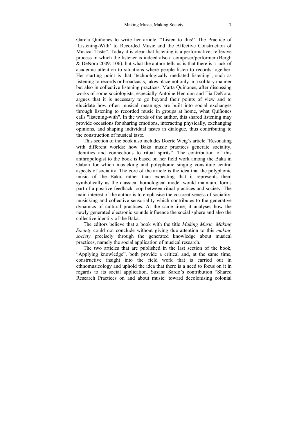García Quiñones to write her article "'Listen to this!' The Practice of 'Listening-With' to Recorded Music and the Affective Construction of Musical Taste". Today it is clear that listening is a performative, reflexive process in which the listener is indeed also a composer/performer (Bergh & DeNora 2009: 106), but what the author tells us is that there is a lack of academic attention to situations where people listen to records together. Her starting point is that "technologically mediated listening", such as listening to records or broadcasts, takes place not only in a solitary manner but also in collective listening practices. Marta Quiñones, after discussing works of some sociologists, especially Antoine Hennion and Tia DeNora, argues that it is necessary to go beyond their points of view and to elucidate how often musical meanings are built into social exchanges through listening to recorded music in groups at home, what Quiñones calls "listening-with". In the words of the author, this shared listening may provide occasions for sharing emotions, interacting physically, exchanging opinions, and shaping individual tastes in dialogue, thus contributing to the construction of musical taste.

This section of the book also includes Doerte Weig's article "Resonating with different worlds: how Baka music practices generate sociality, identities and connections to ritual spirits"*.* The contribution of this anthropologist to the book is based on her field work among the Baka in Gabon for which musicking and polyphonic singing constitute central aspects of sociality. The core of the article is the idea that the polyphonic music of the Baka, rather than expecting that it represents them symbolically as the classical homological model would maintain, forms part of a positive feedback loop between ritual practices and society. The main interest of the author is to emphasise the co-creativeness of sociality, musicking and collective sensoriality which contributes to the generative dynamics of cultural practices. At the same time, it analyses how the newly generated electronic sounds influence the social sphere and also the collective identity of the Baka.

The editors believe that a book with the title *Making Music, Making Society* could not conclude without giving due attention to this *making society* precisely through the generated knowledge about musical practices, namely the social application of musical research.

The two articles that are published in the last section of the book, "Applying knowledge", both provide a critical and, at the same time, constructive insight into the field work that is carried out in ethnomusicology and uphold the idea that there is a need to focus on it in regards to its social application. Susana Sardo's contribution "Shared Research Practices on and about music: toward decolonising colonial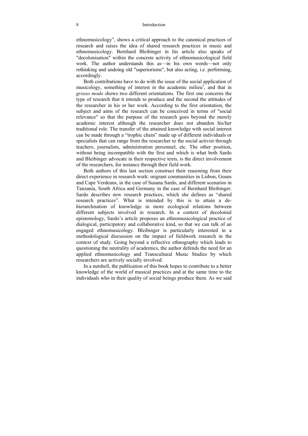#### 8 Introduction

ethnomusicology", shows a critical approach to the canonical practices of research and raises the idea of shared research practices in music and ethnomusicology. Bernhard Bleibinger in his article also speaks of "decolonisation" within the concrete activity of ethnomusicological field work. The author understands this as—in his own words—not only rethinking and undoing old "superiorisms", but also acting, i.e. performing, accordingly.

Both contributions have to do with the issue of the social application of musicology, something of interest in the academic milieu<sup>2</sup>, and that in *grosso modo* shows two different orientations. The first one concerns the type of research that it intends to produce and the second the attitudes of the researcher in his or her work. According to the first orientation, the subject and aims of the research can be conceived in terms of "social relevance" so that the purpose of the research goes beyond the merely academic interest although the researcher does not abandon his/her traditional role. The transfer of the attained knowledge with social interest can be made through a "trophic chain" made up of different individuals or specialists that can range from the researcher to the social activist through teachers, journalists, administration personnel, etc. The other position, without being incompatible with the first and which is what both Sardo and Bleibinger advocate in their respective texts, is the direct involvement of the researchers, for instance through their field work.

Both authors of this last section construct their reasoning from their direct experience in research work: migrant communities in Lisbon, Goans and Cape Verdeans, in the case of Susana Sardo, and different scenarios in Tanzania, South Africa and Germany in the case of Bernhard Bleibinger. Sardo describes new research practices, which she defines as "shared research practices". What is intended by this is to attain a dehierarchisation of knowledge in more ecological relations between different subjects involved in research. In a context of decolonial epistemology, Sardo's article proposes an ethnomusicological practice of dialogical, participatory and collaborative kind, so that we can talk of an engaged ethnomusicology. Bleibinger is particularly interested in a methodological discussion on the impact of fieldwork research in the context of study. Going beyond a reflective ethnography which leads to questioning the neutrality of academics, the author defends the need for an applied ethnomusicology and Transcultural Music Studies by which researchers are actively socially involved.

In a nutshell, the publication of this book hopes to contribute to a better knowledge of the world of musical practices and at the same time to the individuals who in their quality of social beings produce them. As we said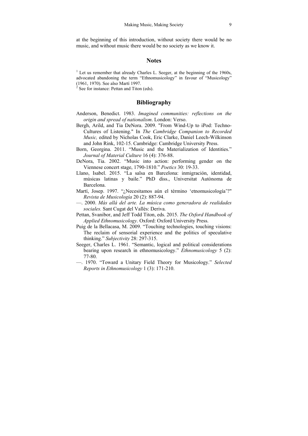at the beginning of this introduction, without society there would be no music, and without music there would be no society as we know it.

#### **Notes**

 $<sup>1</sup>$  Let us remember that already Charles L. Seeger, at the beginning of the 1960s,</sup> advocated abandoning the term "Ethnomusicology" in favour of "Musicology" (1961, 1970). See also Martí 1997.

<sup>2</sup> See for instance: Pettan and Titon (eds).

#### **Bibliography**

- Anderson, Benedict. 1983. *Imagined communities: reflections on the origin and spread of nationalism*. London: Verso.
- Bergh, Arild, and Tia DeNora. 2009. "From Wind-Up to iPod: Techno-Cultures of Listening." In *The Cambridge Companion to Recorded Music,* edited by Nicholas Cook, Eric Clarke, Daniel Leech-Wilkinson and John Rink, 102-15. Cambridge: Cambridge University Press.
- Born, Georgina. 2011. "Music and the Materialization of Identities." *Journal of Material Culture* 16 (4): 376-88.
- DeNora, Tia. 2002. "Music into action: performing gender on the Viennese concert stage, 1790-1810." *Poetics* 30: 19-33.
- Llano, Isabel. 2015. "La salsa en Barcelona: inmigración, identidad, músicas latinas y baile." PhD diss., Universitat Autònoma de Barcelona.
- Martí, Josep. 1997. "¿Necesitamos aún el término 'etnomusicología'?" *Revista de Musicología* 20 (2): 887-94.
- —. 2000. *Más allá del arte. La música como generadora de realidades sociales.* Sant Cugat del Vallès: Deriva.
- Pettan, Svanibor, and Jeff Todd Titon, eds. 2015. *The Oxford Handbook of Applied Ethnomusicology*. Oxford: Oxford University Press.
- Puig de la Bellacasa, M. 2009. "Touching technologies, touching visions: The reclaim of sensorial experience and the politics of speculative thinking." *Subjectivity* 28: 297-315.
- Seeger, Charles L. 1961. "Semantic, logical and political considerations bearing upon research in ethnomusicology." *Ethnomusicology* 5 (2): 77-80.
- —. 1970. "Toward a Unitary Field Theory for Musicology." *Selected Reports in Ethnomusicology* 1 (3): 171-210.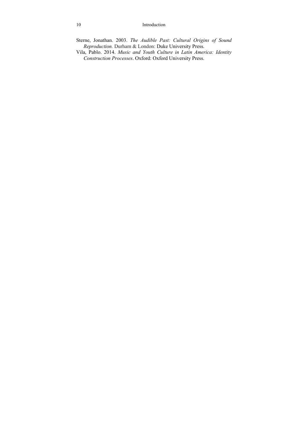#### 10 Introduction

- Sterne, Jonathan. 2003. *The Audible Past: Cultural Origins of Sound Reproduction.* Durham & London: Duke University Press.
- Vila, Pablo. 2014. *Music and Youth Culture in Latin America: Identity Construction Processes*. Oxford: Oxford University Press.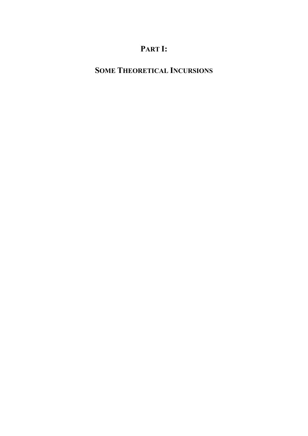## **PART I:**

## **SOME THEORETICAL INCURSIONS**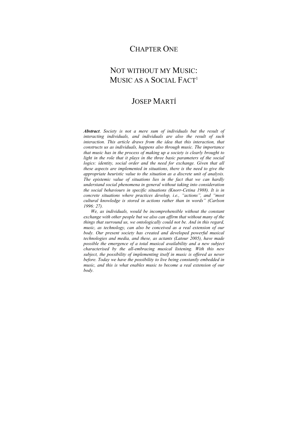## CHAPTER ONE

## NOT WITHOUT MY MUSIC: MUSIC AS A SOCIAL FACT<sup>1</sup>

## JOSEP MARTÍ

*Abstract*. *Society is not a mere sum of individuals but the result of interacting individuals, and individuals are also the result of such interaction. This article draws from the idea that this interaction, that constructs us as individuals, happens also through music. The importance that music has in the process of making up a society is clearly brought to light in the role that it plays in the three basic parameters of the social logics: identity, social order and the need for exchange. Given that all these aspects are implemented in situations, there is the need to give the appropriate heuristic value to the situation as a discrete unit of analysis. The epistemic value of situations lies in the fact that we can hardly understand social phenomena in general without taking into consideration the social behaviours in specific situations (Knorr-Cetina 1988). It is in concrete situations where practices develop, i.e., "actions", and "most cultural knowledge is stored in actions rather than in words" (Carlson 1996: 27).* 

*We, as individuals, would be incomprehensible without the constant exchange with other people but we also can affirm that without many of the things that surround us, we ontologically could not be. And in this regard, music, as technology, can also be conceived as a real extension of our body. Our present society has created and developed powerful musical technologies and media, and these, as actants (Latour 2005), have made possible the emergence of a total musical availability and a new subject characterised by the all-embracing musical listening. With this new subject, the possibility of implementing itself in music is offered as never before. Today we have the possibility to live being constantly embedded in music, and this is what enables music to become a real extension of our body.*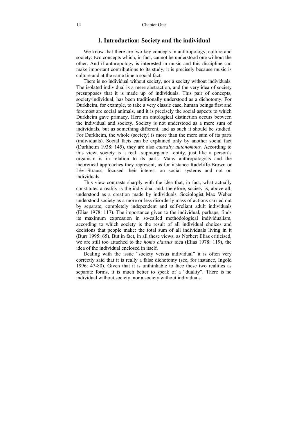#### **1. Introduction: Society and the individual**

We know that there are two key concepts in anthropology, culture and society: two concepts which, in fact, cannot be understood one without the other. And if anthropology is interested in music and this discipline can make important contributions to its study, it is precisely because music is culture and at the same time a social fact.

There is no individual without society, nor a society without individuals. The isolated individual is a mere abstraction, and the very idea of society presupposes that it is made up of individuals. This pair of concepts, society/individual, has been traditionally understood as a dichotomy. For Durkheim, for example, to take a very classic case, human beings first and foremost are social animals, and it is precisely the social aspects to which Durkheim gave primacy. Here an ontological distinction occurs between the individual and society. Society is not understood as a mere sum of individuals, but as something different, and as such it should be studied. For Durkheim, the whole (society) is more than the mere sum of its parts (individuals). Social facts can be explained only by another social fact (Durkheim 1938: 145), they are also *causally autonomous.* According to this view, society is a real—supraorganic—entity, just like a person's organism is in relation to its parts. Many anthropologists and the theoretical approaches they represent, as for instance Radcliffe-Brown or Lévi-Strauss, focused their interest on social systems and not on individuals.

This view contrasts sharply with the idea that, in fact, what actually constitutes a reality is the individual and, therefore, society is, above all, understood as a creation made by individuals. Sociologist Max Weber understood society as a more or less disorderly mass of actions carried out by separate, completely independent and self-reliant adult individuals (Elias 1978: 117). The importance given to the individual, perhaps, finds its maximum expression in so-called methodological individualism, according to which society is the result of all individual choices and decisions that people make: the total sum of all individuals living in it (Burr 1995: 65). But in fact, in all these views, as Norbert Elias criticised, we are still too attached to the *homo clausus* idea (Elias 1978: 119), the idea of the individual enclosed in itself.

Dealing with the issue "society versus individual" it is often very correctly said that it is really a false dichotomy (see, for instance, Ingold 1996: 47-80). Given that it is unthinkable to face these two realities as separate forms, it is much better to speak of a "duality". There is no individual without society, nor a society without individuals.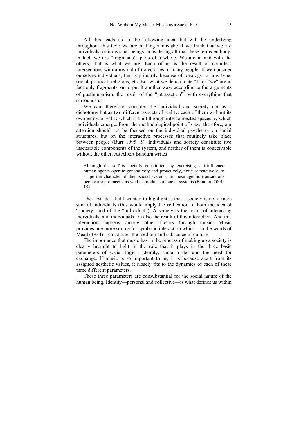All this leads us to the following idea that will be underlying throughout this text: we are making a mistake if we think that we are individuals, or individual beings, considering all that these terms embody: in fact, we are "fragments", parts of a whole. We are in and with the others; that is what we are. Each of us is the result of countless intersections with a myriad of trajectories of many people. If we consider ourselves individuals, this is primarily because of ideology, of any type: social, political, religious, etc. But what we denominate "I" or "we" are in fact only fragments, or to put it another way, according to the arguments of posthumanism, the result of the "intra-action"<sup>2</sup> with everything that surrounds us.

We can, therefore, consider the individual and society not as a dichotomy but as two different aspects of reality; each of them without its own entity, a reality which is built through interconnected spaces by which individuals emerge. From the methodological point of view, therefore, our attention should not be focused on the individual psyche or on social structures, but on the interactive processes that routinely take place between people (Burr 1995: 5). Individuals and society constitute two inseparable components of the system, and neither of them is conceivable without the other. As Albert Bandura writes

Although the self is socially constituted, by exercising self-influence human agents operate generatively and proactively, not just reactively, to shape the character of their social systems. In these agentic transactions people are producers, as well as products of social systems (Bandura 2001: 15).

The first idea that I wanted to highlight is that a society is not a mere sum of individuals (this would imply the reification of both the idea of "society" and of the "individual"). A society is the result of interacting individuals, and individuals are also the result of this interaction. And this interaction happens—among other factors—through music. Music provides one more source for symbolic interaction which—in the words of Mead (1934)—constitutes the medium and substance of culture.

The importance that music has in the process of making up a society is clearly brought to light in the role that it plays in the three basic parameters of social logics: identity, social order and the need for exchange. If music is so important to us, it is because apart from its assigned aesthetic values, it closely fits to the dynamics of each of these three different parameters.

These three parameters are consubstantial for the social nature of the human being. Identity—personal and collective—is what defines us within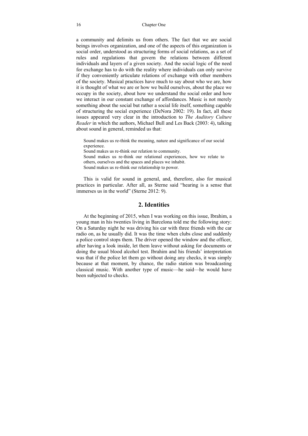#### 16 Chapter One

a community and delimits us from others. The fact that we are social beings involves organization, and one of the aspects of this organization is social order, understood as structuring forms of social relations, as a set of rules and regulations that govern the relations between different individuals and layers of a given society. And the social logic of the need for exchange has to do with the reality where individuals can only survive if they conveniently articulate relations of exchange with other members of the society. Musical practices have much to say about who we are, how it is thought of what we are or how we build ourselves, about the place we occupy in the society, about how we understand the social order and how we interact in our constant exchange of affordances. Music is not merely something about the social but rather a social life itself, something capable of structuring the social experience (DeNora 2002: 19). In fact, all these issues appeared very clear in the introduction to *The Auditory Culture Reader* in which the authors, Michael Bull and Les Back (2003: 4), talking about sound in general, reminded us that:

Sound makes us re-think the meaning, nature and significance of our social experience. Sound makes us re-think our relation to community. Sound makes us re-think our relational experiences, how we relate to others, ourselves and the spaces and places we inhabit. Sound makes us re-think our relationship to power.

This is valid for sound in general, and, therefore, also for musical practices in particular. After all, as Sterne said "hearing is a sense that immerses us in the world" (Sterne 2012: 9).

#### **2. Identities**

At the beginning of 2015, when I was working on this issue, Ibrahim, a young man in his twenties living in Barcelona told me the following story: On a Saturday night he was driving his car with three friends with the car radio on, as he usually did. It was the time when clubs close and suddenly a police control stops them. The driver opened the window and the officer, after having a look inside, let them leave without asking for documents or doing the usual blood alcohol test. Ibrahim and his friends' interpretation was that if the police let them go without doing any checks, it was simply because at that moment, by chance, the radio station was broadcasting classical music. With another type of music—he said—he would have been subjected to checks.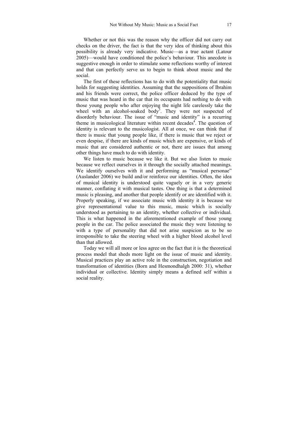Whether or not this was the reason why the officer did not carry out checks on the driver, the fact is that the very idea of thinking about this possibility is already very indicative. Music—as a true actant (Latour 2005)—would have conditioned the police's behaviour. This anecdote is suggestive enough in order to stimulate some reflections worthy of interest and that can perfectly serve us to begin to think about music and the social.

The first of these reflections has to do with the potentiality that music holds for suggesting identities. Assuming that the suppositions of Ibrahim and his friends were correct, the police officer deduced by the type of music that was heard in the car that its occupants had nothing to do with those young people who after enjoying the night life carelessly take the wheel with an alcohol-soaked body<sup>3</sup>. They were not suspected of disorderly behaviour. The issue of "music and identity" is a recurring theme in musicological literature within recent decades<sup>4</sup>. The question of identity is relevant to the musicologist. All at once, we can think that if there is music that young people like, if there is music that we reject or even despise, if there are kinds of music which are expensive, or kinds of music that are considered authentic or not, there are issues that among other things have much to do with identity.

We listen to music because we like it. But we also listen to music because we reflect ourselves in it through the socially attached meanings. We identify ourselves with it and performing as "musical personae" (Auslander 2006) we build and/or reinforce our identities. Often, the idea of musical identity is understood quite vaguely or in a very generic manner, conflating it with musical tastes. One thing is that a determined music is pleasing, and another that people identify or are identified with it. Properly speaking, if we associate music with identity it is because we give representational value to this music, music which is socially understood as pertaining to an identity, whether collective or individual. This is what happened in the aforementioned example of those young people in the car. The police associated the music they were listening to with a type of personality that did not arise suspicion as to be so irresponsible to take the steering wheel with a higher blood alcohol level than that allowed.

Today we will all more or less agree on the fact that it is the theoretical process model that sheds more light on the issue of music and identity. Musical practices play an active role in the construction, negotiation and transformation of identities (Born and Hesmondhalgh 2000: 31), whether individual or collective. Identity simply means a defined self within a social reality.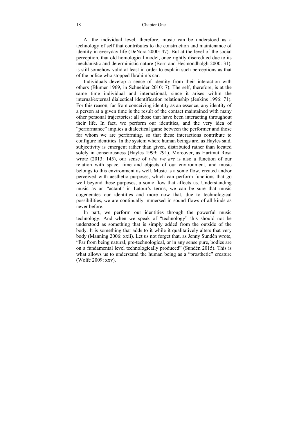At the individual level, therefore, music can be understood as a technology of self that contributes to the construction and maintenance of identity in everyday life (DeNora 2000: 47). But at the level of the social perception, that old homological model, once rightly discredited due to its mechanistic and deterministic nature (Born and Hesmondhalgh 2000: 31), is still somehow valid at least in order to explain such perceptions as that of the police who stopped Ibrahim's car.

Individuals develop a sense of identity from their interaction with others (Blumer 1969, in Schneider 2010: 7). The self, therefore, is at the same time individual and interactional, since it arises within the internal/external dialectical identification relationship (Jenkins 1996: 71). For this reason, far from conceiving identity as an essence, any identity of a person at a given time is the result of the contact maintained with many other personal trajectories: all those that have been interacting throughout their life. In fact, we perform our identities, and the very idea of "performance" implies a dialectical game between the performer and those for whom we are performing, so that these interactions contribute to configure identities. In the system where human beings are, as Hayles said, subjectivity is emergent rather than given, distributed rather than located solely in consciousness (Hayles 1999: 291). Moreover, as Hartmut Rosa wrote (2013: 145), our sense of *who we are* is also a function of our relation with space, time and objects of our environment, and music belongs to this environment as well. Music is a sonic flow, created and/or perceived with aesthetic purposes, which can perform functions that go well beyond these purposes, a sonic flow that affects us. Understanding music as an "actant" in Latour's terms, we can be sure that music cogenerates our identities and more now that, due to technological possibilities, we are continually immersed in sound flows of all kinds as never before.

In part, we perform our identities through the powerful music technology. And when we speak of "technology" this should not be understood as something that is simply added from the outside of the body. It is something that adds to it while it qualitatively alters that very body (Manning 2006: xxii). Let us not forget that, as Jenny Sundén wrote, "Far from being natural, pre-technological, or in any sense pure, bodies are on a fundamental level technologically produced" (Sundén 2015). This is what allows us to understand the human being as a "prosthetic" creature (Wolfe 2009: xxv).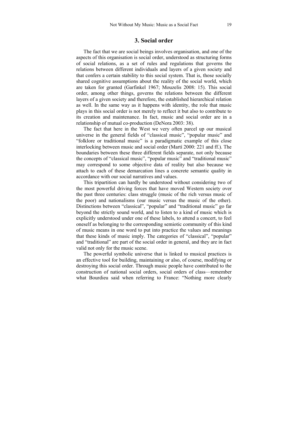#### **3. Social order**

The fact that we are social beings involves organisation, and one of the aspects of this organisation is social order, understood as structuring forms of social relations, as a set of rules and regulations that governs the relations between different individuals and layers of a given society and that confers a certain stability to this social system. That is, those socially shared cognitive assumptions about the reality of the social world, which are taken for granted (Garfinkel 1967; Mouzelis 2008: 15). This social order, among other things, governs the relations between the different layers of a given society and therefore, the established hierarchical relation as well. In the same way as it happens with identity, the role that music plays in this social order is not merely to reflect it but also to contribute to its creation and maintenance. In fact, music and social order are in a relationship of mutual co-production (DeNora 2003: 38).

The fact that here in the West we very often parcel up our musical universe in the general fields of "classical music", "popular music" and "folklore or traditional music" is a paradigmatic example of this close interlocking between music and social order (Martí 2000: 221 and ff.). The boundaries between these three different fields separate, not only because the concepts of "classical music", "popular music" and "traditional music" may correspond to some objective data of reality but also because we attach to each of these demarcation lines a concrete semantic quality in accordance with our social narratives and values.

This tripartition can hardly be understood without considering two of the most powerful driving forces that have moved Western society over the past three centuries: class struggle (music of the rich versus music of the poor) and nationalisms (our music versus the music of the other). Distinctions between "classical", "popular" and "traditional music" go far beyond the strictly sound world, and to listen to a kind of music which is explicitly understood under one of these labels, to attend a concert, to feel oneself as belonging to the corresponding semiotic community of this kind of music means in one word to put into practice the values and meanings that these kinds of music imply. The categories of "classical", "popular" and "traditional" are part of the social order in general, and they are in fact valid not only for the music scene.

The powerful symbolic universe that is linked to musical practices is an effective tool for building, maintaining or also, of course, modifying or destroying this social order. Through music people have contributed to the construction of national social orders, social orders of class—remember what Bourdieu said when referring to France: "Nothing more clearly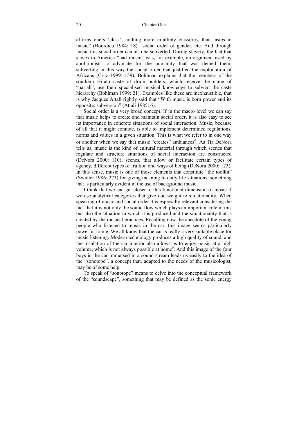affirms one's 'class', nothing more infallibly classifies, than tastes in music" (Bourdieu 1984: 18)—social order of gender, etc. And through music this social order can also be subverted. During slavery, the fact that slaves in America "had music" was, for example, an argument used by abolitionists to advocate for the humanity that was denied them, subverting in this way the social order that justified the exploitation of Africans (Cruz 1999: 159). Bohlman explains that the members of the southern Hindu caste of drum builders, which receive the name of "pariah", use their specialised musical knowledge to subvert the caste hierarchy (Bohlman 1999: 21). Examples like these are inexhaustible, that is why Jacques Attali rightly said that "With music is born power and its opposite: subversion" (Attali 1985: 6).

Social order is a very broad concept. If in the macro level we can say that music helps to create and maintain social order, it is also easy to see its importance in concrete situations of social interaction. Music, because of all that it might connote, is able to implement determined regulations, norms and values in a given situation. This is what we refer to in one way or another when we say that music "creates" ambiances<sup>5</sup>. As Tia DeNora tells us, music is the kind of cultural material through which scenes that regulate and structure situations of social interaction are constructed (DeNora 2000: 110); scenes, that allow or facilitate certain types of agency, different types of fruition and ways of being (DeNora 2000: 123). In this sense, music is one of those elements that constitute "the toolkit" (Swidler 1986: 273) for giving meaning to daily life situations, something that is particularly evident in the use of background music.

I think that we can get closer to this functional dimension of music if we use analytical categories that give due weight to situationality. When speaking of music and social order it is especially relevant considering the fact that it is not only the sound flow which plays an important role in this but also the situation in which it is produced and the situationality that is created by the musical practices. Recalling now the anecdote of the young people who listened to music in the car, this image seems particularly powerful to me. We all know that the car is really a very suitable place for music listening. Modern technology produces a high quality of sound, and the insulation of the car interior also allows us to enjoy music at a high volume, which is not always possible at home<sup>6</sup>. And this image of the four boys in the car immersed in a sound stream leads us easily to the idea of the "sonotope", a concept that, adapted to the needs of the musicologist, may be of some help.

To speak of "sonotope" means to delve into the conceptual framework of the "soundscape", something that may be defined as the sonic energy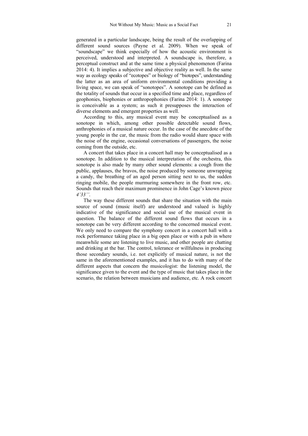generated in a particular landscape, being the result of the overlapping of different sound sources (Payne et al. 2009). When we speak of "soundscape" we think especially of how the acoustic environment is perceived, understood and interpreted. A soundscape is, therefore, a perceptual construct and at the same time a physical phenomenon (Farina 2014: 4). It implies a subjective and objective reality as well. In the same way as ecology speaks of "ecotopes" or biology of "biotopes", understanding the latter as an area of uniform environmental conditions providing a living space, we can speak of "sonotopes". A sonotope can be defined as the totality of sounds that occur in a specified time and place, regardless of geophonies, biophonies or anthropophonies (Farina 2014: 1). A sonotope is conceivable as a system; as such it presupposes the interaction of diverse elements and emergent properties as well.

According to this, any musical event may be conceptualised as a sonotope in which, among other possible detectable sound flows, anthrophonies of a musical nature occur. In the case of the anecdote of the young people in the car, the music from the radio would share space with the noise of the engine, occasional conversations of passengers, the noise coming from the outside, etc.

A concert that takes place in a concert hall may be conceptualised as a sonotope. In addition to the musical interpretation of the orchestra, this sonotope is also made by many other sound elements: a cough from the public, applauses, the bravos, the noise produced by someone unwrapping a candy, the breathing of an aged person sitting next to us, the sudden ringing mobile, the people murmuring somewhere in the front row, etc. Sounds that reach their maximum prominence in John Cage's known piece *4'33''*.

The way these different sounds that share the situation with the main source of sound (music itself) are understood and valued is highly indicative of the significance and social use of the musical event in question. The balance of the different sound flows that occurs in a sonotope can be very different according to the concerned musical event. We only need to compare the symphony concert in a concert hall with a rock performance taking place in a big open place or with a pub in where meanwhile some are listening to live music, and other people are chatting and drinking at the bar. The control, tolerance or willfulness in producing those secondary sounds, i.e. not explicitly of musical nature, is not the same in the aforementioned examples, and it has to do with many of the different aspects that concern the musicologist: the listening model, the significance given to the event and the type of music that takes place in the scenario, the relation between musicians and audience, etc. A rock concert